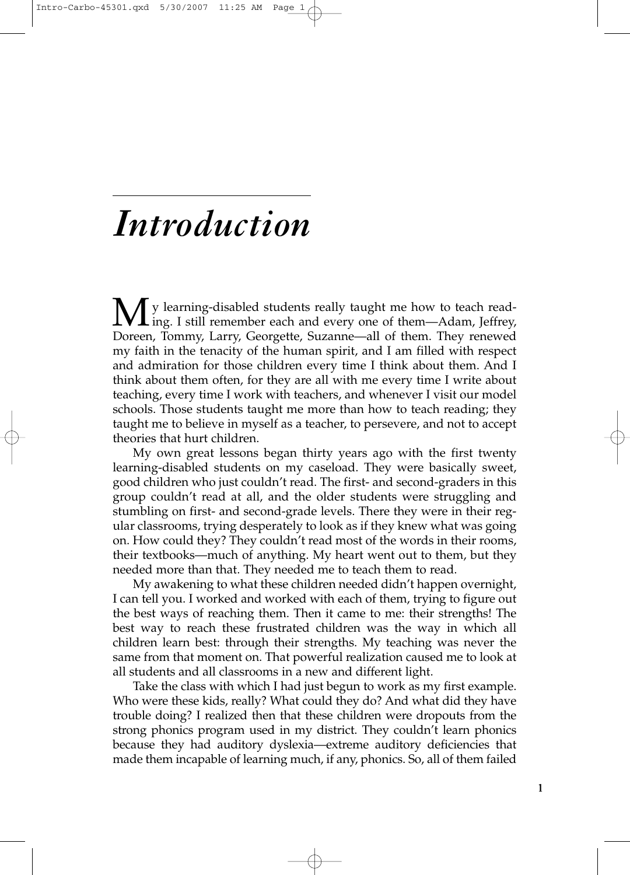## *Introduction*

My learning-disabled students really taught me how to teach read-<br>ing. I still remember each and every one of them—Adam, Jeffrey,<br>Dorson, Tommy Larry Goorsetto, Suzanno, all of them. They renoved Doreen, Tommy, Larry, Georgette, Suzanne—all of them. They renewed my faith in the tenacity of the human spirit, and I am filled with respect and admiration for those children every time I think about them. And I think about them often, for they are all with me every time I write about teaching, every time I work with teachers, and whenever I visit our model schools. Those students taught me more than how to teach reading; they taught me to believe in myself as a teacher, to persevere, and not to accept theories that hurt children.

My own great lessons began thirty years ago with the first twenty learning-disabled students on my caseload. They were basically sweet, good children who just couldn't read. The first- and second-graders in this group couldn't read at all, and the older students were struggling and stumbling on first- and second-grade levels. There they were in their regular classrooms, trying desperately to look as if they knew what was going on. How could they? They couldn't read most of the words in their rooms, their textbooks—much of anything. My heart went out to them, but they needed more than that. They needed me to teach them to read.

My awakening to what these children needed didn't happen overnight, I can tell you. I worked and worked with each of them, trying to figure out the best ways of reaching them. Then it came to me: their strengths! The best way to reach these frustrated children was the way in which all children learn best: through their strengths. My teaching was never the same from that moment on. That powerful realization caused me to look at all students and all classrooms in a new and different light.

Take the class with which I had just begun to work as my first example. Who were these kids, really? What could they do? And what did they have trouble doing? I realized then that these children were dropouts from the strong phonics program used in my district. They couldn't learn phonics because they had auditory dyslexia—extreme auditory deficiencies that made them incapable of learning much, if any, phonics. So, all of them failed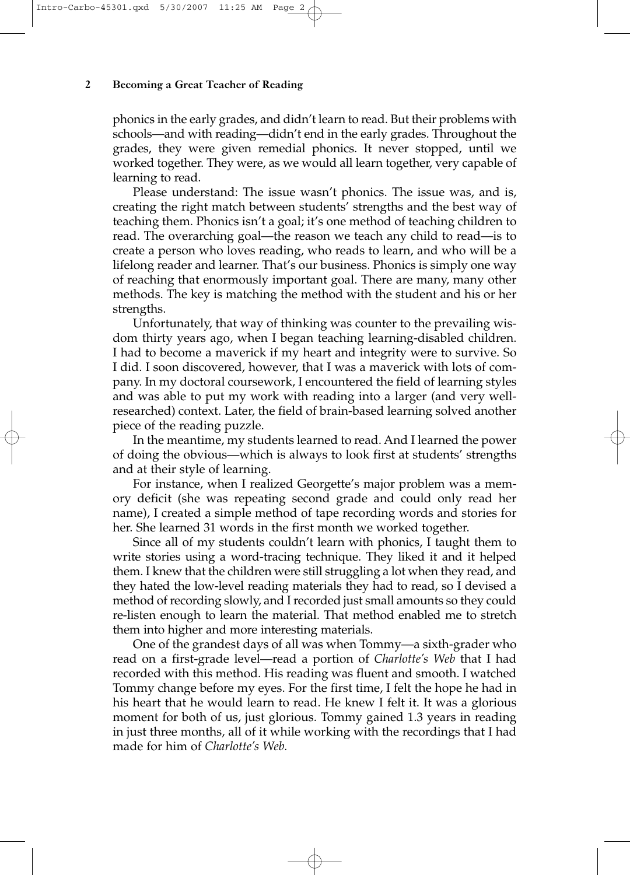phonics in the early grades, and didn't learn to read. But their problems with schools—and with reading—didn't end in the early grades. Throughout the grades, they were given remedial phonics. It never stopped, until we worked together. They were, as we would all learn together, very capable of learning to read.

Please understand: The issue wasn't phonics. The issue was, and is, creating the right match between students' strengths and the best way of teaching them. Phonics isn't a goal; it's one method of teaching children to read. The overarching goal—the reason we teach any child to read—is to create a person who loves reading, who reads to learn, and who will be a lifelong reader and learner. That's our business. Phonics is simply one way of reaching that enormously important goal. There are many, many other methods. The key is matching the method with the student and his or her strengths.

Unfortunately, that way of thinking was counter to the prevailing wisdom thirty years ago, when I began teaching learning-disabled children. I had to become a maverick if my heart and integrity were to survive. So I did. I soon discovered, however, that I was a maverick with lots of company. In my doctoral coursework, I encountered the field of learning styles and was able to put my work with reading into a larger (and very wellresearched) context. Later, the field of brain-based learning solved another piece of the reading puzzle.

In the meantime, my students learned to read. And I learned the power of doing the obvious—which is always to look first at students' strengths and at their style of learning.

For instance, when I realized Georgette's major problem was a memory deficit (she was repeating second grade and could only read her name), I created a simple method of tape recording words and stories for her. She learned 31 words in the first month we worked together.

Since all of my students couldn't learn with phonics, I taught them to write stories using a word-tracing technique. They liked it and it helped them. I knew that the children were still struggling a lot when they read, and they hated the low-level reading materials they had to read, so I devised a method of recording slowly, and I recorded just small amounts so they could re-listen enough to learn the material. That method enabled me to stretch them into higher and more interesting materials.

One of the grandest days of all was when Tommy—a sixth-grader who read on a first-grade level—read a portion of *Charlotte's Web* that I had recorded with this method. His reading was fluent and smooth. I watched Tommy change before my eyes. For the first time, I felt the hope he had in his heart that he would learn to read. He knew I felt it. It was a glorious moment for both of us, just glorious. Tommy gained 1.3 years in reading in just three months, all of it while working with the recordings that I had made for him of *Charlotte's Web.*